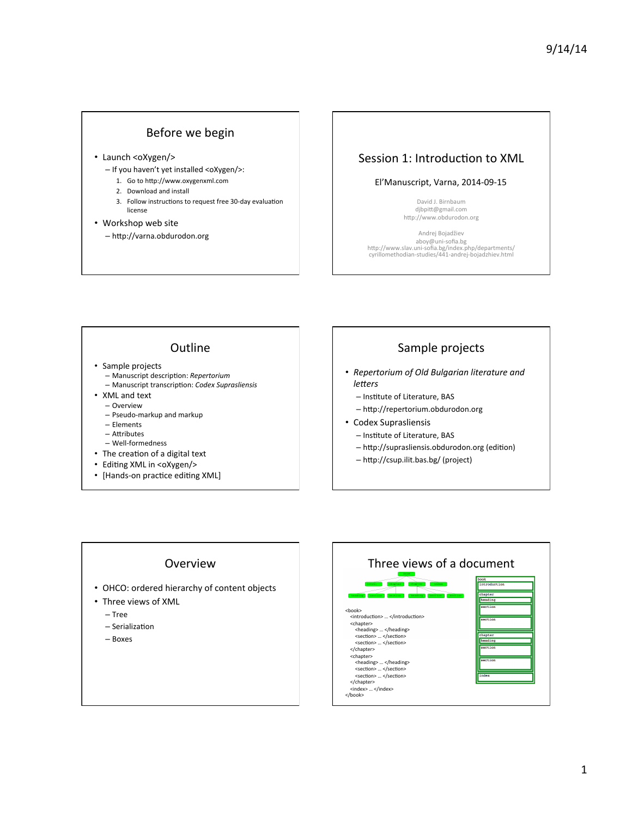### Before we begin

- Launch <oXygen/>
	- If you haven't yet installed <oXygen/>:
		- 1. Go to http://www.oxygenxml.com
		- 2. Download and install
		- 3. Follow instructions to request free 30-day evaluation license
- Workshop web site  $-$  http://varna.obdurodon.org

### Session 1: Introduction to XML

### El'Manuscript, Varna, 2014-09-15

David J. Birnbaum djbpitt@gmail.com http://www.obdurodon.org

Andrej Bojadžiev aboy@uni-sofia.bg<br>http://www.slav.uni-sofia.bg/index.php/departments/ cyrillomethodian-studies/441-andrej-bojadzhiev.html 

### **Outline**

- Sample projects
	- $-$  Manuscript description: Repertorium
	- $-$  Manuscript transcription: *Codex Suprasliensis*
- XML and text – Overview
	- Pseudo-markup and markup
	- Elements
	- $-$  Attributes
	- Well-formedness
- The creation of a digital text
- Editing XML in <oXygen/>
- [Hands-on practice editing XML]

### Sample projects

- *Repertorium of Old Bulgarian literature and*   $letters$ 
	- Institute of Literature, BAS
	- $-$  http://repertorium.obdurodon.org
- Codex Suprasliensis
	- Institute of Literature, BAS
	- http://suprasliensis.obdurodon.org (edition)
	- http://csup.ilit.bas.bg/ (project)

### Overview

- OHCO: ordered hierarchy of content objects
- Three views of XML
	- Tree
	- $-$  Serialization
	- Boxes

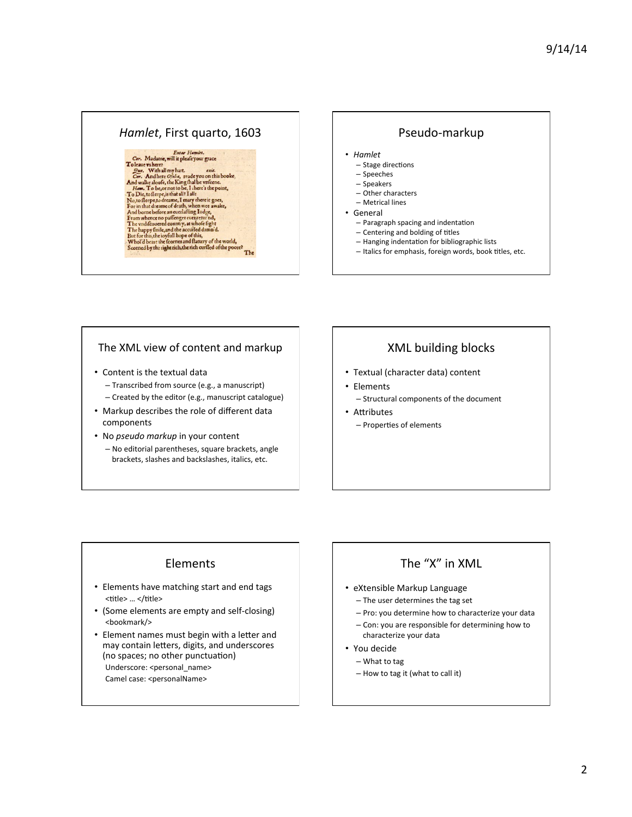### *Hamlet*, First quarto, 1603 | | Pseudo-markup

# Enter Hamlet.<br>Cor. Madame, will it pleafe your grace

# Cor. Madame, will it pleaklyour grace<br>
To leave where  $\mathcal{O}_{\mathbb{R}^{d+1}}$  and the set of the set of the set of the set of the set of the Ally reduced and will solve a<br>
Cor. And walke aloofs, the King fhal be wife<br>me. To b

The

- *Hamlet* 
	- Stage directions
	- Speeches
	- Speakers
	- Other characters – Metrical lines
- **General** 
	- Paragraph spacing and indentation
	- Centering and bolding of titles
	- Hanging indentation for bibliographic lists
	- Italics for emphasis, foreign words, book titles, etc.

### The XML view of content and markup

- Content is the textual data - Transcribed from source (e.g., a manuscript) - Created by the editor (e.g., manuscript catalogue)
	-
- Markup describes the role of different data components
- No *pseudo markup* in your content - No editorial parentheses, square brackets, angle brackets, slashes and backslashes, italics, etc.

### XML building blocks

- Textual (character data) content
- Elements
	- Structural components of the document
- Attributes - Properties of elements

### Elements

- Elements have matching start and end tags <title> ... </title>
- (Some elements are empty and self-closing) <bookmark/>
- Element names must begin with a letter and may contain letters, digits, and underscores (no spaces; no other punctuation) Underscore: <personal\_name> Camel case: <personalName>

### The "X" in XML

- eXtensible Markup Language
	- The user determines the tag set
	- Pro: you determine how to characterize your data
	- Con: you are responsible for determining how to characterize your data
- You decide
	- $-$  What to tag
	- How to tag it (what to call it)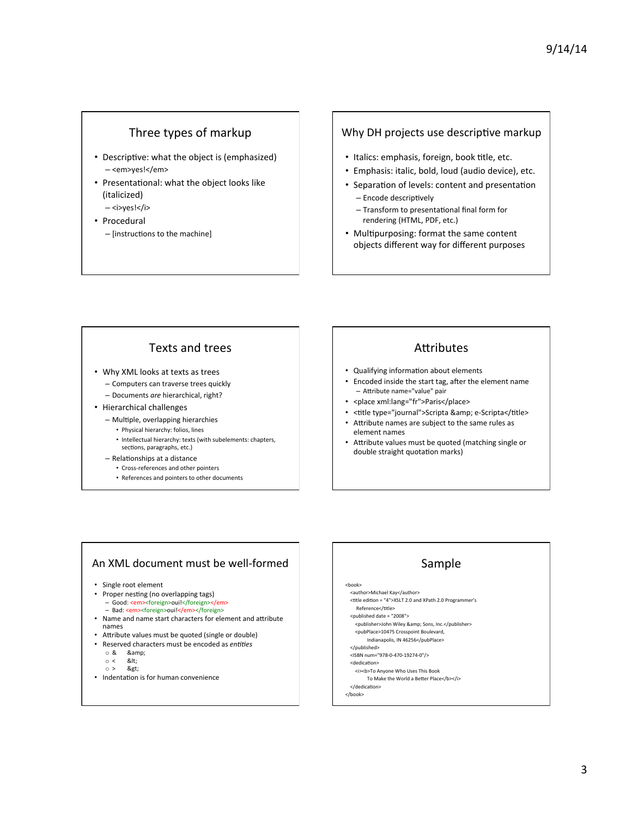### Three types of markup

- Descriptive: what the object is (emphasized) – <em>yes!</em>
- Presentational: what the object looks like (italicized)
	- <i>yes!</i>
- Procedural
	- [instructions to the machine]

### Why DH projects use descriptive markup

- Italics: emphasis, foreign, book title, etc.
- Emphasis: italic, bold, loud (audio device), etc.
- Separation of levels: content and presentation - Encode descriptively
	- Transform to presentational final form for rendering (HTML, PDF, etc.)
- Multipurposing: format the same content objects different way for different purposes

### Texts and trees

- Why XML looks at texts as trees
	- Computers can traverse trees quickly – Documents *are* hierarchical, right?
- Hierarchical challenges
	- Multiple, overlapping hierarchies
		- Physical hierarchy: folios, lines
		- Intellectual hierarchy: texts (with subelements: chapters, sections, paragraphs, etc.)
	- Relationships at a distance
		- Cross-references and other pointers
		- References and pointers to other documents

### **Attributes**

- Qualifying information about elements
- Encoded inside the start tag, after the element name - Attribute name="value" pair
- < place xml:lang="fr">Paris</place>
- <title type="journal">Scripta &amp; e-Scripta</title>
- Attribute names are subject to the same rules as element names
- Attribute values must be quoted (matching single or double straight quotation marks)

### An XML document must be well-formed

- Single root element
- Proper nesting (no overlapping tags)
	- Good: <em><foreign>oui!</foreign></em> – Bad: <em><foreign>oui!</em></foreign>
- 
- Name and name start characters for element and attribute names
- Attribute values must be quoted (single or double)
- Reserved characters must be encoded as *entities* 
	- o & &
	- $\circ$  < &lt;<br> $\circ$  > &et;
	- >
- Indentation is for human convenience

## Sample

<book> <author>Michael Kay</author> 

- <title edition = "4">XSLT 2.0 and XPath 2.0 Programmer's Reference</title> <published date = "2008">
- <publisher>John Wiley &amp; Sons, Inc.</publisher>
- <pubPlace>10475 Crosspoint Boulevard, Indianapolis, IN 46256</pubPlace>
- </published>
- <ISBN num="978-0-470-19274-0"/>
- <dedication>
- <i><b>To Anyone Who Uses This Book To Make the World a Better Place</b></i>
- </dedication>
- </book>